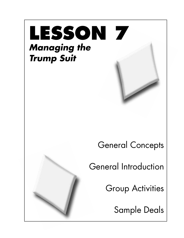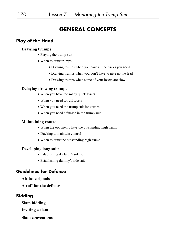# **GENERAL CONCEPTS**

## **Play of the Hand**

#### **Drawing trumps**

- Playing the trump suit
- When to draw trumps
	- Drawing trumps when you have all the tricks you need
	- Drawing trumps when you don't have to give up the lead
	- Drawing trumps when some of your losers are slow

#### **Delaying drawing trumps**

- When you have too many quick losers
- When you need to ruff losers
- When you need the trump suit for entries
- When you need a finesse in the trump suit

#### **Maintaining control**

- When the opponents have the outstanding high trump
- Ducking to maintain control
- When to draw the outstanding high trump

#### **Developing long suits**

- Establishing declarer's side suit
- Establishing dummy's side suit

## **Guidelines for Defense**

#### **Attitude signals**

**A ruff for the defense**

## **Bidding**

**Slam bidding**

**Inviting a slam**

**Slam conventions**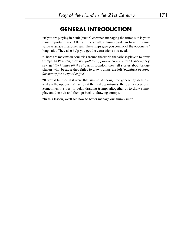# **GENERAL INTRODUCTION**

"If you are playing in a suit (trump) contract, managing the trump suit is your most important task. After all, the smallest trump card can have the same value as an ace in another suit. The trumps give you control of the opponents' long suits. They also help you get the extra tricks you need.

"There are maxims in countries around the world that advise players to draw trumps. In Pakistan, they say *'pull the opponents' teeth out.'* In Canada, they say *'get the kiddies off the street.'* In London, they tell stories about bridge players who, because they failed to draw trumps, are left *'penniless begging for money for a cup of coffee.'*

"It would be nice if it were that simple. Although the general guideline is to draw the opponents' trumps at the first opportunity, there are exceptions. Sometimes, it's best to delay drawing trumps altogether or to draw some, play another suit and then go back to drawing trumps.

"In this lesson, we'll see how to better manage our trump suit."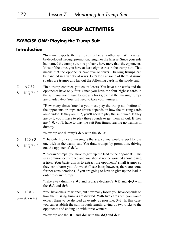# **GROUP ACTIVITIES**

### *EXERCISE ONE:* **Playing the Trump Suit**

#### **Introduction**

"In many respects, the trump suit is like any other suit. Winners can be developed through promotion, length or the finesse. Since your side has named the trump suit, you probably have more than the opponents. Most of the time, you have at least eight cards in the trump suit. That means that the opponents have five or fewer. Drawing trumps can be handled in a variety of ways. Let's look at some of them. Assume spades are trumps and lay out the following cards in the spade suit:

"In a trump contract, you count losers. You have nine cards and the opponents have only four. Since you have the four highest cards in the suit, you won't have to lose any tricks, even if the missing trumps are divided 4–0. You just need to take your winners.  $N$   $-$  A J 8 3 S — K Q 7 4 2

> "How many times (rounds) you must play the trump suit before all the opponents' trumps are drawn depends on how the missing cards are divided. If they are 2–2, you'll need to play the suit twice. If they are 3–1, you'll have to play three rounds to get them all out. If they are 4–0, you'll have to play the suit four times, leaving no trumps in dummy.

"Now replace dummy's  $\spadesuit$  A with the  $\spadesuit$  10:

"The only high card missing is the ace, so you would expect to lose one trick in the trump suit. You draw trumps by promotion, driving out the opponents'  $\spadesuit$  A.  $N - J$  10 8 3  $S-KQ742$ 

> "To draw trumps, you have to give up the lead to the opponents. This is a common occurrence and you should not be worried about losing a trick. Your basic aim is to extract the opponents' small trumps so they can't harm you. As we shall see later, however, there are some further considerations, if you are going to have to give up the lead in order to draw trumps.

> "Take away dummy's  $\spadesuit J$  and replace declarer's  $\spadesuit K$  and  $\spadesuit Q$  with the  $\spadesuit$  A and  $\spadesuit$  6:

"You have one sure winner, but how many losers you have depends on how the missing trumps are divided. With five cards out, you would expect them to be divided as evenly as possible, 3–2. In this case, you can establish the suit through length, giving up two tricks to the opponents and ending up with three winners.  $N - 1083$  $S$  — A 7 6 4 2

"Now replace the  $\clubsuit$  7 and  $\clubsuit$  6 with the  $\spadesuit$  Q and  $\spadesuit$  J: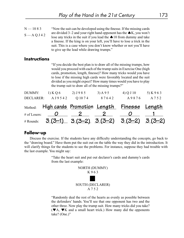"Now the suit can be developed using the finesse. If the missing cards are divided 3–2 and your right hand opponent has the  $\triangle K$ , you won't lose any tricks in the suit if you lead the  $\triangle$  10 from dummy and take a finesse. If the king is on your left, you'll have to lose a trick in the suit. This is a case where you don't know whether or not you'll have to give up the lead while drawing trumps."  $N - 1083$ S — A Q J 4 2

#### **Instructions**

"If you decide the best plan is to draw all of the missing trumps, how would you proceed with each of the trump suits in Exercise One (high cards, promotion, length, finesse)? How many tricks would you have to lose if the missing high cards were favorably located and the suit divided as you might expect? How many times would you have to play the trump suit to draw all of the missing trumps?"

| DUMMY:           | $1)$ K Q 6                                         | 2) J 9 8 5     | $3)$ A 9 5 | (4) Q J 10                                   | 5) K 9 6 3 |
|------------------|----------------------------------------------------|----------------|------------|----------------------------------------------|------------|
| <b>DECLARER:</b> | A J 9 5 4 2                                        | Q 1074         | 87642      | A9876                                        | A 7 5 2    |
|                  | Method: High cards Promotion Length Finesse Length |                |            |                                              |            |
| # of Losers:     | $\bm{O}$                                           | 2 <sup>1</sup> |            | $\boldsymbol{U}$                             |            |
| # Rounds:        |                                                    |                |            | $3(3-1)$ $3(3-2)$ $3(3-2)$ $3(3-2)$ $3(3-2)$ |            |

#### **Follow-up**

Discuss the exercise. If the students have any difficulty understanding the concepts, go back to the "drawing board." Have them put the suit out on the table the way they did in the introduction. It will clarify things for the students to see the problems. For instance, suppose they had trouble with the last example. You might say:

> "Take the heart suit and put out declarer's cards and dummy's cards from the last example:



"Randomly deal the rest of the hearts as evenly as possible between the defenders' hands. You'll see that one opponent has two and the other three. Now play the trump suit. How many tricks did you take?  $(\mathbf{V} A, \mathbf{V} K$  and a small heart trick.) How many did the opponents take? (One.)"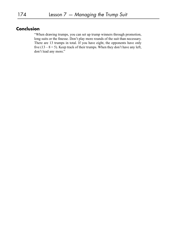## **Conclusion**

"When drawing trumps, you can set up trump winners through promotion, long suits or the finesse. Don't play more rounds of the suit than necessary. There are 13 trumps in total. If you have eight, the opponents have only five  $(13 - 8 = 5)$ . Keep track of their trumps. When they don't have any left, don't lead any more."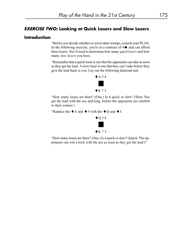## *EXERCISE TWO:* **Looking at Quick Losers and Slow Losers**

#### **Introduction**

"Before you decide whether or not to draw trumps, consult your PLAN. In the following exercise, you're in a contract of  $4\spadesuit$  and can afford three losers. You'll need to determine how many *quick losers* and how many *slow losers* you have.

"Remember that a quick loser is one that the opponents can take as soon as they get the lead. A slow loser is one that they can't take before they give the lead back to you. Lay out the following diamond suit:



"How many losers are there? (One.) Is it quick or slow? (Slow. You get the lead with the ace and king, before the opponents are entitled to their winner.)

"Replace the  $\blacklozenge$  A and  $\blacklozenge$  5 with the  $\blacklozenge$  Q and  $\blacklozenge$  J:



"How many losers are there? (One.) Is it quick or slow? (Quick. The opponents can win a trick with the ace as soon as they get the lead.)"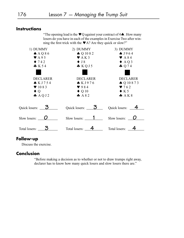## **Instructions**

"The opening lead is the  $\blacktriangledown$ Q against your contract of 4 $\blacklozenge$ . How many losers do you have in each of the examples in Exercise Two after winning the first trick with the  $\blacktriangledown A$ ? Are they quick or slow?"

| 1) DUMMY                    | 2) DUMMY                              | 3) DUMMY                    |  |
|-----------------------------|---------------------------------------|-----------------------------|--|
| A A Q 86                    | $\spadesuit$ Q 10 8 2                 | $\spadesuit$ J964           |  |
| $\blacktriangledown$ A 9 5  | $\blacktriangleright$ AK3             | $\blacktriangleright$ A 84  |  |
| $\blacklozenge$ 742         | $\blacklozenge$ J 8                   | $\triangle$ AQ <sub>3</sub> |  |
| K54                         | KQJ5                                  | $\clubsuit$ Q 74            |  |
|                             |                                       |                             |  |
| <b>DECLARER</b>             | <b>DECLARER</b>                       | <b>DECLARER</b>             |  |
| KJ754                       | KJ976                                 | $\bigcirc$ Q 10 8 7 3       |  |
| $\blacktriangledown$ 10 8 3 | $\blacktriangledown$ 984              | 9762                        |  |
| $\blacklozenge$ Q           | $\blacklozenge$ Q 10                  | $\blacklozenge$ K 5         |  |
| A Q J2                      | A82                                   | A K 8                       |  |
| Quick losers: $3$           | Quick losers: $\overline{\mathbf{3}}$ | Quick losers: $\frac{4}{ }$ |  |
| Slow losers:                | Slow losers: $\qquad \qquad$ 1        | Slow losers: _              |  |
| Total losers:               | Total losers:                         | Total losers:               |  |

## **Follow-up**

Discuss the exercise.

## **Conclusion**

"Before making a decision as to whether or not to draw trumps right away, declarer has to know how many quick losers and slow losers there are."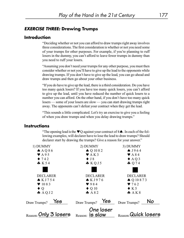### *EXERCISE THREE:* **Drawing Trumps**

#### **Introduction**

"Deciding whether or not you can afford to draw trumps right away involves three considerations. The first consideration is whether or not you need some of your trumps for other purposes. For example, if you're planning to ruff losers in the dummy, you can't afford to leave fewer trumps in dummy than you need to ruff your losers.

"Assuming you don't need your trumps for any other purpose, you must then consider whether or not you'll have to give up the lead to the opponents while drawing trumps. If you don't have to give up the lead, you can go ahead and draw trumps and then go about your other business.

"If you do have to give up the lead, there is a third consideration. Do you have too many quick losers? If you have too many quick losers, you can't afford to give up the lead, until you have reduced the number of quick losers to a number you can afford. On the other hand, if you don't have too many quick losers — some of your losers are slow — you can start drawing trumps right away. The opponents can't defeat your contract when they get the lead.

"This sounds a little complicated. Let's try an exercise to give you a feeling of when you draw trumps and when you delay drawing trumps."

#### **Instructions**

"The opening lead is the  $\blacktriangledown Q$  against your contract of 4 $\blacktriangle$ . In each of the following examples, will declarer have to lose the lead to draw trumps? Should declarer start by drawing the trumps? Give a reason for your answer."

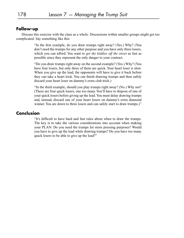### **Follow-up**

Discuss this exercise with the class as a whole. Discussions within smaller groups might get too complicated. Say something like this:

> "In the first example, do you draw trumps right away? (Yes.) Why? (You don't need the trumps for any other purpose and you have only three losers, which you can afford. You want to *get the kiddies off the street* as fast as possible since they represent the only danger to your contract.

> "Do you draw trumps right away on the second example? (Yes.) Why? (You have four losers, but only three of them are quick. Your heart loser is slow. When you give up the lead, the opponents will have to give it back before they can take a heart trick. You can finish drawing trumps and then safely discard your heart loser on dummy's extra club trick.)

> "In the third example, should you play trumps right away? (No.) Why not? (There are four quick losers, one too many. You'll have to dispose of one of your quick losers before giving up the lead. You must delay drawing trumps and, instead, discard one of your heart losers on dummy's extra diamond winner. You are down to three losers and can safely start to draw trumps.)"

#### **Conclusion**

"It's difficult to have hard and fast rules about when to draw the trumps. The key is to take the various considerations into account when making your PLAN: Do you need the trumps for more pressing purposes? Would you have to give up the lead while drawing trumps? Do you have too many quick losers to be able to give up the lead?"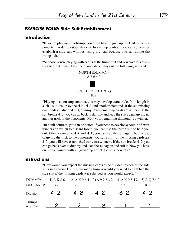### *EXERCISE FOUR:* **Side Suit Establishment**

#### **Introduction**

"If you're playing in notrump, you often have to give up the lead to the opponents in order to establish a suit. In a trump contract, you can sometimes establish a side suit without losing the lead because you can utilize the trump suit.

"Suppose you're playing with hearts as the trump suit and you have lots of entries to the dummy. Take the diamonds and lay out the following side suit:



"Playing in a notrump contract, you may develop extra tricks from length in such a suit. You play the  $\blacklozenge K$ ,  $\blacklozenge A$  and another diamond. If the six missing diamonds are divided 3–3, dummy's two remaining cards are winners. If the suit breaks 4–2, you can go back to dummy and lead the suit again, giving up another trick to the opponents. Now your remaining diamond is a winner.

"In a suit contract, you can do better. If you need to develop a couple of extra winners on which to discard losers, you can use the trump suit to help you out. After playing the  $\blacklozenge$  K and  $\blacklozenge$  A, you can lead the suit again, but instead of giving the trick to the opponents, you can ruff it. If the missing cards are 3–3, you will have established two extra winners. If the suit breaks 4–2, you can go back over to dummy and lead the suit again and ruff it. Now you have one extra winner without giving up a trick to the opponents."

#### **Instructions**

"How would you expect the missing cards to be divided in each of the side suits in Exercise Four? How many trumps would you need to establish the side suit if the missing cards were divided as you would expect?"

| DUMMY:              |    |    |         | 1) A K 8 6 4 2) A K 9 6 4 3) A 9 7 6 3 2 4) A K 9 8 4 2 5) A Q 7 4 2 |     |
|---------------------|----|----|---------|----------------------------------------------------------------------|-----|
| DECLARER:           | 32 |    |         | 53                                                                   | K 5 |
| Division:           |    | -3 | $4 - 2$ | $-2$                                                                 |     |
| Trumps<br>required: |    |    |         |                                                                      |     |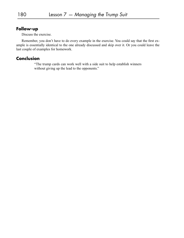## **Follow-up**

Discuss the exercise.

Remember, you don't have to do every example in the exercise. You could say that the first example is essentially identical to the one already discussed and skip over it. Or you could leave the last couple of examples for homework.

## **Conclusion**

"The trump cards can work well with a side suit to help establish winners without giving up the lead to the opponents."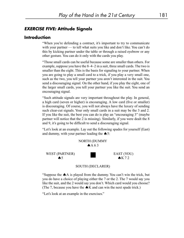#### *EXERCISE FIVE:* **Attitude Signals**

#### **Introduction**

"When you're defending a contract, it's important to try to communicate with your partner — to tell what suits you like and don't like. You can't do this by kicking partner under the table or through a raised eyebrow or any other gesture. You can do it only with the cards you play.

"Those small cards can be useful because some are smaller than others. For example, suppose you have the 8–4–2 in a suit, three small cards. The two is smaller than the eight. This is the basis for signaling to your partner. When you are going to play a small card to a trick, if you play a very small one, such as the two, you tell your partner you aren't interested in the suit. You send a discouraging signal. On the other hand, if you play the eight, one of the larger small cards, you tell your partner you like the suit. You send an encouraging signal.

"Such attitude signals are very important throughout the play. In general, a high card (seven or higher) is encouraging. A low card (five or smaller) is discouraging. Of course, you will not always have the luxury of sending such clear-cut signals. Your only small cards in a suit may be the 3 and 2. If you like the suit, the best you can do is play an "encouraging 3" (maybe partner will notice that the 2 is missing). Similarly, if you were dealt the 8 and 9, it's going to be difficult to send a discouraging signal.

"Let's look at an example. Lay out the following spades for yourself (East) and dummy, with your partner leading the  $\spadesuit 5$ :



#### SOUTH (DECLARER)

"Suppose the  $\spadesuit$  A is played from the dummy. You can't win the trick, but you do have a choice of playing either the 7 or the 2. The 7 would say you like the suit, and the 2 would say you don't. Which card would you choose? (The 7, because you have the  $\triangle K$  and can win the next spade trick.)

"Let's look at an example in the exercises."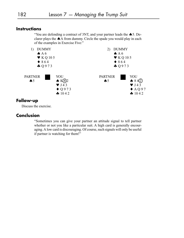## **Instructions**

"You are defending a contract of 3NT, and your partner leads the  $\spadesuit$  5. Declarer plays the A from dummy. Circle the spade you would play in each of the examples in Exercise Five:"



#### **Follow-up**

Discuss the exercise.

## **Conclusion**

"Sometimes you can give your partner an attitude signal to tell partner whether or not you like a particular suit. A high card is generally encouraging. A low card is discouraging. Of course, such signals will only be useful if partner is watching for them!"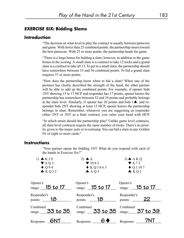### *EXERCISE SIX:* **Bidding Slams**

#### **Introduction**

"The decision on what level to play the contract is usually between partscore and game. With fewer than 25 combined points, the partnership steers toward the best partscore. With 25 or more points, the partnership heads for game.

"There is a large bonus for bidding a slam, however, in addition to the game bonus in the scoring. A small slam is a contract to take 12 tricks and a grand slam is a contract to take all 13. To get to a small slam, the partnership should have somewhere between 33 and 36 combined points. To bid a grand slam requires 37 or more points.

"How does the partnership know when to bid a slam? When one of the partners has clearly described the strength of the hand, the other partner will be able to add up the combined points. For example, if opener bids 1NT showing 15 to 17 HCP and responder has 17 points, opener knows the partnership has somewhere between 32 and 34 points and probably belongs at the slam level. Similarly, if opener has 20 points and bids  $1\spadesuit$ , and responder bids 2NT showing at least 13 HCP, opener knows the partnership belongs in slam. Remember, whenever you are suggesting as responder either 2NT or 3NT as a final contract, you value your hand with HCP.

"In which strain should the partnership play? Unlike game level contracts, all slam level contracts require the same number of tricks. There's no priority given to the major suits or to notrump. You can bid a slam in any Golden Fit of eight or more cards."

#### **Instructions**

"Your partner opens the bidding 1NT. What do you respond with each of the hands in Exercise Six?"

| $\triangle$ K J 9                  | 2) $\spadesuit$ A                  | $3)$ $\spadesuit$ A K Q                                           |
|------------------------------------|------------------------------------|-------------------------------------------------------------------|
| $\blacktriangledown$ AQ 3          | $\blacktriangledown$ 10 8 2        | $\blacktriangledown$ A 72                                         |
| $\blacklozenge$ Q94                | $\blacklozenge$ KQJ863             | $\blacklozenge$ Q J 10 7                                          |
| KQJ2                               | $A$ $O$ 5                          | $\clubsuit$ KQJ                                                   |
| Opener's<br>range: 15 to 17        | Opener's<br>range: <u>15 to 17</u> | Opener's<br>range: $15 to 17$                                     |
| Responder's<br>points: $\qquad 18$ | Responder's<br>points: $\qquad 18$ | Responder's<br>points: $\_\_\_\_\_$ 22                            |
| Combined<br>range: $35$ to 35      | Combined                           | Combined<br>range: $33 \text{ to } 35$ range: $37 \text{ to } 39$ |
| Response: $\blacksquare$           | Response:                          | 7NT<br>Response:                                                  |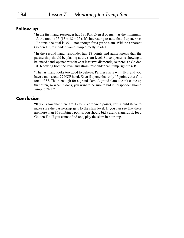### **Follow-up**

"In the first hand, responder has 18 HCP. Even if opener has the minimum, 15, the total is 33 (15 + 18 = 33). It's interesting to note that if opener has 17 points, the total is 35 — not enough for a grand slam. With no apparent Golden Fit, responder would jump directly to 6NT.

"In the second hand, responder has 18 points and again knows that the partnership should be playing at the slam level. Since opener is showing a balanced hand, opener must have at least two diamonds, so there is a Golden Fit. Knowing both the level and strain, responder can jump right to  $6 \blacklozenge$ .

"The last hand looks too good to believe. Partner starts with 1NT and you have a monstrous 22 HCP hand. Even if opener has only 15 points, there's a total of 37. That's enough for a grand slam. A grand slam doesn't come up that often, so when it does, you want to be sure to bid it. Responder should jump to 7NT."

### **Conclusion**

"If you know that there are 33 to 36 combined points, you should strive to make sure the partnership gets to the slam level. If you can see that there are more than 36 combined points, you should bid a grand slam. Look for a Golden Fit. If you cannot find one, play the slam in notrump."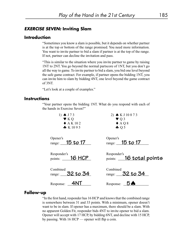#### *EXERCISE SEVEN:* **Inviting Slam**

## **Introduction**

"Sometimes you know a slam is possible, but it depends on whether partner is at the top or bottom of the range promised. You need more information. You want to invite partner to bid a slam if partner is at the top of the range. If not, partner can decline the invitation and pass.

"This is similar to the situation where you invite partner to game by raising 1NT to 2NT. You go beyond the normal partscore of 1NT, but you don't go all the way to game. To invite partner to bid a slam, you bid one level beyond the safe game contract. For example, if partner opens the bidding 1NT, you can invite him to slam by bidding 4NT, one level beyond the game contract of 3NT.

"Let's look at a couple of examples."

#### **Instructions**

"Your partner opens the bidding 1NT. What do you respond with each of the hands in Exercise Seven?"

| 1) $\spadesuit$ J73                             | 2) $\bullet$ K J 10 8 7 3              |
|-------------------------------------------------|----------------------------------------|
| $\blacktriangledown$ KQ<br>$\triangle$ A K 10 2 | $\blacktriangledown$ Q 3               |
| K1095                                           | $\triangle$ AQ8<br>$\clubsuit$ Q 5     |
| Opener's<br>range: $15 to 17$                   | Opener's<br>range: $15 to 17$          |
| Responder's<br>$points:$ 16 HCP                 | Responder's<br>points: 16 total points |
| Combined<br>range: $32$ to 34                   | Combined<br>range: 32 to 34            |
| Response:                                       | Response:                              |

#### **Follow-up**

"In the first hand, responder has 16 HCP and knows that the combined range is somewhere between 31 and 33 points. With a minimum, opener doesn't want to be in slam. If opener has a maximum, there should be a slam. With no apparent Golden Fit, responder bids 4NT to invite opener to bid a slam. Opener will accept with 17 HCP, by bidding 6NT, and decline with 15 HCP, by passing. With 16 HCP — opener will flip a coin.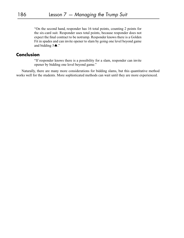"On the second hand, responder has 16 total points, counting 2 points for the six-card suit. Responder uses total points, because responder does not expect the final contract to be notrump. Responder knows there is a Golden Fit in spades and can invite opener to slam by going one level beyond game and bidding  $5 \spadesuit$ ."

### **Conclusion**

"If responder knows there is a possibility for a slam, responder can invite opener by bidding one level beyond game."

Naturally, there are many more considerations for bidding slams, but this quantitative method works well for the students. More sophisticated methods can wait until they are more experienced.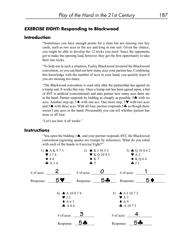## *EXERCISE EIGHT:* **Responding to Blackwood**

#### **Introduction**

"Sometimes you have enough points for a slam but are missing two key cards, such as two aces or the ace and king in one suit. Given the chance, you might be able to develop the 12 tricks you need. Since the opponents get to make the opening lead, however, they get the first opportunity to take their two tricks.

"To help out in such a situation, Easley Blackwood invented the Blackwood convention, so you can find out how many aces your partner has. Combining this knowledge with the number of aces in your hand, you quickly learn if you are missing too many.

"The Blackwood convention is used only after the partnership has agreed on a trump suit. It works this way. Once a trump suit has been agreed upon, a bid of 4NT is artificial (conventional) and asks partner how many aces there are in the hand. Partner responds by bidding as cheaply as possible,  $5\clubsuit$  with no aces. Another step up,  $5 \blacklozenge$  with one ace. One more step,  $5 \blacktriangledown$  with two aces and 5  $\spadesuit$  with three aces. With all four, partner responds 5  $\clubsuit$  as though there weren't any aces in the hand. Presumably you can tell whether partner has none or all four.

"Let's see how it all works."

#### **Instructions**

"You open the bidding  $1 \spadesuit$ , and your partner responds 4NT, the Blackwood convention (agreeing spades are trumps by inference). What do you rebid with each of the hands in Exercise Eight?"

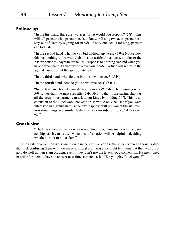## **Follow-up**

"In the first hand, there are two aces. What would you respond? ( $5\blacktriangledown$ ). This will tell partner what partner needs to know. Missing two aces, partner can stay out of slam by signing off in  $5\spadesuit$ . If only one ace is missing, partner can bid  $6\spadesuit$ .

"In the second hand, what do you bid without any aces? ( $5\clubsuit$ .) Notice how this has nothing to do with clubs. It's an artificial response, similar to the  $2 \blacklozenge$  response to Stayman or the 2NT response to a strong two-bid when you have a weak hand. Partner won't leave you in  $5\clubsuit$ . Partner will return to the agreed trump suit at the appropriate level.

"In the third hand, what do you bid to show one ace?  $(5 \blacklozenge)$ .

"In the fourth hand, how do you show three aces?  $(5\spadesuit)$ .)

"In the last hand, how do you show all four aces?  $(5\clubsuit)$ .) The reason you use 5. The rather than the next step after  $5\spadesuit$ , 5NT, is that if the partnership has all the aces, your partner can ask about kings by bidding 5NT. This is an extension of the Blackwood convention. It would only be used if you were interested in a grand slam, since any response will put you at the six level. You show kings in a similar fashion to aces —  $6\clubsuit$  for none,  $6\spadesuit$  for one, etc."

#### **Conclusion**

"The Blackwood convention is a way of finding out how many aces the partnership has. It can be used when this information will be helpful in deciding whether or not to bid a slam."

The Gerber convention is also mentioned in the text. You can ask the students to read about it rather than risk confusing them with too many artificial bids. You also might tell them that they will probably do well in their slam bidding, even if they don't use the Blackwood convention. It's mentioned in order for them to have an answer next time someone asks, "Do you play Blackwood?"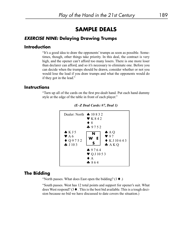# **SAMPLE DEALS**

### *EXERCISE NINE:* **Delaying Drawing Trumps**

#### **Introduction**

"It's a good idea to draw the opponents' trumps as soon as possible. Sometimes, though, other things take priority. In this deal, the contract is very high, and the opener can't afford too many losers. There is one more loser than declarer can afford, and so it's necessary to eliminate one. Before you can decide when the trumps should be drawn, consider whether or not you would lose the lead if you draw trumps and what the opponents would do if they got in the lead."

#### **Instructions**

"Turn up all of the cards on the first pre-dealt hand. Put each hand dummy style at the edge of the table in front of each player."





## **The Bidding**

"North passes. What does East open the bidding?  $(1 \blacklozenge)$ .

"South passes. West has 12 total points and support for opener's suit. What does West respond?  $(3 \blacklozenge)$ . This is the best bid available. This is a tough decision because no bid we have discussed to date covers the situation.)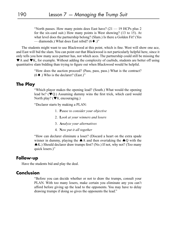"North passes. How many points does East have?  $(21 - 19$  HCPs plus 2 for the six-card suit.) How many points is West showing? (13 to 15). At what level does the partnership belong? (Slam.) Is there a Golden Fit? (Yes — diamonds.) What does East rebid?  $(6 \blacklozenge)$ ."

The students might want to use Blackwood at this point, which is fine. West will show one ace, and East will bid the slam. You can point out that Blackwood is not particularly helpful here, since it only tells you how many aces partner has, not which aces. The partnership could still be missing the  $\blacktriangleright$  A and  $\blacktriangleright$  K, for example. Without adding the complexity of cuebids, students are better off using quantitative slam bidding than trying to figure out when Blackwood would be helpful.

> "How does the auction proceed? (Pass, pass, pass.) What is the contract?  $(6 \blacklozenge)$  Who is the declarer? (East.)"

#### **The Play**

"Which player makes the opening lead? (South.) What would the opening lead be? ( $\blacktriangledown Q$ .) Assuming dummy wins the first trick, which card would North play? ( $\blacktriangledown 8$ , encouraging.)

"Declarer starts by making a PLAN:

- 1. **P***ause to consider your objective*
- 2. **L***ook at your winners and losers*
- 3. **A***nalyze your alternatives*
- 4. **N***ow put it all together*

"How can declarer eliminate a loser? (Discard a heart on the extra spade winner in dummy, playing the  $\spadesuit$  A and then overtaking the  $\spadesuit$  Q with the K.) Should declarer draw trumps first? (No.) If not, why not? (Too many quick losers.)"

#### **Follow-up**

Have the students bid and play the deal.

#### **Conclusion**

"Before you can decide whether or not to draw the trumps, consult your PLAN. With too many losers, make certain you eliminate any you can't afford before giving up the lead to the opponents. You may have to delay drawing trumps if doing so gives the opponents the lead."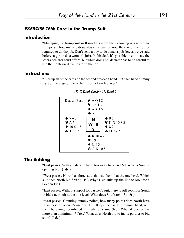#### *EXERCISE TEN:* **Care in the Trump Suit**

## **Introduction**

"Managing the trump suit well involves more than knowing when to draw trumps and how many to draw. You also have to know the size of the trumps required to do the job. Don't send a boy to do a man's job (or, as we've said before, a girl to do a woman's job). In this deal, it's possible to eliminate the losers declarer can't afford, but while doing so, declarer has to be careful to use the right-sized trumps to fit the job."

#### **Instructions**

"Turn up all of the cards on the second pre-dealt hand. Put each hand dummy style at the edge of the table in front of each player."



*(E–Z Deal Cards: #7, Deal 2)*

## **The Bidding**

"East passes. With a balanced hand too weak to open 1NT, what is South's opening bid?  $(1\clubsuit.)$ 

"West passes. North has three suits that can be bid at the one level. Which suit does North bid first? ( $1 \blacklozenge$ .) Why? (Bid suits up-the-line to look for a Golden Fit.)

"East passes. Without support for partner's suit, there is still room for South to bid a new suit at the one level. What does South rebid?  $(1 \spadesuit)$ .

"West passes. Counting dummy points, how many points does North have in support of opener's major? (18.) If opener has a minimum hand, will there be enough combined strength for slam? (No.) What if opener has more than a minimum? (Yes.) What does North bid to invite partner to bid slam?  $(5\spadesuit.)$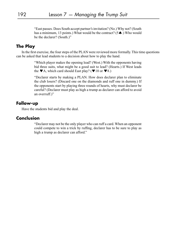"East passes. Does South accept partner's invitation? (No.) Why not? (South has a minimum, 13 points.) What would be the contract? ( $5 \spadesuit$ .) Who would be the declarer? (South.)"

#### **The Play**

In the first exercise, the four steps of the PLAN were reviewed more formally. This time questions can be asked that lead students to a decision about how to play the hand.

> "Which player makes the opening lead? (West.) With the opponents having bid three suits, what might be a good suit to lead? (Hearts.) If West leads the  $\nabla$  A, which card should East play? ( $\nabla$  10 or  $\nabla$  8.)

> "Declarer starts by making a PLAN. How does declarer plan to eliminate the club losers? (Discard one on the diamonds and ruff one in dummy.) If the opponents start by playing three rounds of hearts, why must declarer be careful? (Declarer must play as high a trump as declarer can afford to avoid an overruff.)"

#### **Follow-up**

Have the students bid and play the deal.

#### **Conclusion**

"Declarer may not be the only player who can ruff a card. When an opponent could compete to win a trick by ruffing, declarer has to be sure to play as high a trump as declarer can afford."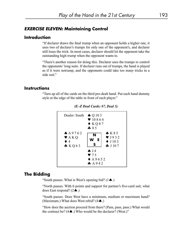#### *EXERCISE ELEVEN:* **Maintaining Control**

#### **Introduction**

"If declarer draws the final trump when an opponent holds a higher one, it uses two of declarer's trumps for only one of the opponent's, and declarer still loses the trick. In most cases, declarer should let the opponent take the outstanding high trump when the opponent wants to.

"There's another reason for doing this. Declarer uses the trumps to control the opponents' long suits. If declarer runs out of trumps, the hand is played as if it were notrump, and the opponents could take too many tricks in a side suit."

#### **Instructions**

"Turn up all of the cards on the third pre-dealt hand. Put each hand dummy style at the edge of the table in front of each player."





## **The Bidding**

"South passes. What is West's opening bid?  $(1 \spadesuit)$ .

"North passes. With 6 points and support for partner's five-card suit, what does East respond?  $(2\spadesuit.)$ 

"South passes. Does West have a minimum, medium or maximum hand? (Maximum.) What does West rebid?  $(4 \spadesuit)$ .)

"How does the auction proceed from there? (Pass, pass, pass.) What would the contract be?  $(4 \spadesuit)$ . Who would be the declarer? (West.)"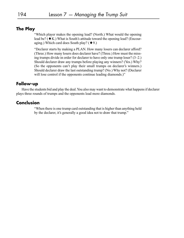## **The Play**

"Which player makes the opening lead? (North.) What would the opening lead be? ( $\blacklozenge$  K.) What is South's attitude toward the opening lead? (Encouraging.) Which card does South play? ( $\blacklozenge$  9.)

"Declarer starts by making a PLAN. How many losers can declarer afford? (Three.) How many losers does declarer have? (Three.) How must the missing trumps divide in order for declarer to have only one trump loser? (3–2.) Should declarer draw any trumps before playing any winners? (Yes.) Why? (So the opponents can't play their small trumps on declarer's winners.) Should declarer draw the last outstanding trump? (No.) Why not? (Declarer will lose control if the opponents continue leading diamonds.)"

#### **Follow-up**

Have the students bid and play the deal. You also may want to demonstrate what happens if declarer plays three rounds of trumps and the opponents lead more diamonds.

#### **Conclusion**

"When there is one trump card outstanding that is higher than anything held by the declarer, it's generally a good idea not to draw that trump."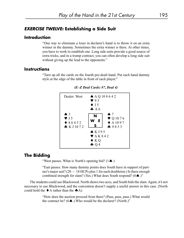## *EXERCISE TWELVE:* **Establishing a Side Suit**

## **Introduction**

"One way to eliminate a loser in declarer's hand is to throw it on an extra winner in the dummy. Sometimes the extra winner is there. At other times, you have to work to establish one. Long side suits provide a good source of extra tricks, and in a trump contract, you can often develop a long side suit without giving up the lead to the opponents."

### **Instructions**

"Turn up all the cards on the fourth pre-dealt hand. Put each hand dummy style at the edge of the table in front of each player."



#### *(E–Z Deal Cards: #7, Deal 4)*

## **The Bidding**

"West passes. What is North's opening bid?  $(1 \spadesuit)$ .

"East passes. How many dummy points does South have in support of partner's major suit? (20 — 18 HCPs plus 1 for each doubleton.) Is there enough combined strength for slam? (Yes.) What does South respond?  $(6 \spadesuit.)$ "

The students could use Blackwood. North shows two aces, and South bids the slam. Again, it's not necessary to use Blackwood, and the convention doesn't supply a useful answer in this case. (North could hold the  $\blacklozenge$  A rather than the  $\blacklozenge$ A).

> "How does the auction proceed from there? (Pass, pass, pass.) What would the contract be?  $(6\spadesuit)$ . Who would be the declarer? (North.)"